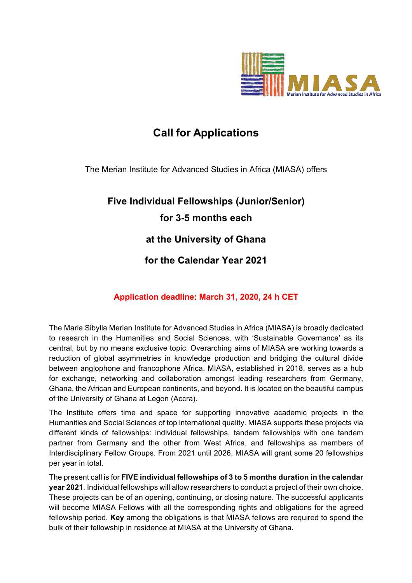

## **Call for Applications**

The Merian Institute for Advanced Studies in Africa (MIASA) offers

# **Five Individual Fellowships (Junior/Senior) for 3-5 months each at the University of Ghana**

## **for the Calendar Year 2021**

## **Application deadline: March 31, 2020, 24 h CET**

The Maria Sibylla Merian Institute for Advanced Studies in Africa (MIASA) is broadly dedicated to research in the Humanities and Social Sciences, with 'Sustainable Governance' as its central, but by no means exclusive topic. Overarching aims of MIASA are working towards a reduction of global asymmetries in knowledge production and bridging the cultural divide between anglophone and francophone Africa. MIASA, established in 2018, serves as a hub for exchange, networking and collaboration amongst leading researchers from Germany, Ghana, the African and European continents, and beyond. It is located on the beautiful campus of the University of Ghana at Legon (Accra).

The Institute offers time and space for supporting innovative academic projects in the Humanities and Social Sciences of top international quality. MIASA supports these projects via different kinds of fellowships: individual fellowships, tandem fellowships with one tandem partner from Germany and the other from West Africa, and fellowships as members of Interdisciplinary Fellow Groups. From 2021 until 2026, MIASA will grant some 20 fellowships per year in total.

The present call is for **FIVE individual fellowships of 3 to 5 months duration in the calendar year 2021**. Individual fellowships will allow researchers to conduct a project of their own choice. These projects can be of an opening, continuing, or closing nature. The successful applicants will become MIASA Fellows with all the corresponding rights and obligations for the agreed fellowship period. **Key** among the obligations is that MIASA fellows are required to spend the bulk of their fellowship in residence at MIASA at the University of Ghana.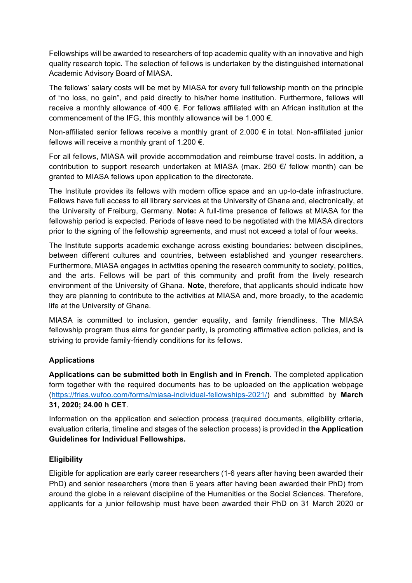Fellowships will be awarded to researchers of top academic quality with an innovative and high quality research topic. The selection of fellows is undertaken by the distinguished international Academic Advisory Board of MIASA.

The fellows' salary costs will be met by MIASA for every full fellowship month on the principle of "no loss, no gain", and paid directly to his/her home institution. Furthermore, fellows will receive a monthly allowance of 400 €. For fellows affiliated with an African institution at the commencement of the IFG, this monthly allowance will be 1.000  $\epsilon$ .

Non-affiliated senior fellows receive a monthly grant of 2.000 € in total. Non-affiliated junior fellows will receive a monthly grant of 1.200  $\epsilon$ .

For all fellows, MIASA will provide accommodation and reimburse travel costs. In addition, a contribution to support research undertaken at MIASA (max. 250 €/ fellow month) can be granted to MIASA fellows upon application to the directorate.

The Institute provides its fellows with modern office space and an up-to-date infrastructure. Fellows have full access to all library services at the University of Ghana and, electronically, at the University of Freiburg, Germany. **Note:** A full-time presence of fellows at MIASA for the fellowship period is expected. Periods of leave need to be negotiated with the MIASA directors prior to the signing of the fellowship agreements, and must not exceed a total of four weeks.

The Institute supports academic exchange across existing boundaries: between disciplines, between different cultures and countries, between established and younger researchers. Furthermore, MIASA engages in activities opening the research community to society, politics, and the arts. Fellows will be part of this community and profit from the lively research environment of the University of Ghana. **Note**, therefore, that applicants should indicate how they are planning to contribute to the activities at MIASA and, more broadly, to the academic life at the University of Ghana.

MIASA is committed to inclusion, gender equality, and family friendliness. The MIASA fellowship program thus aims for gender parity, is promoting affirmative action policies, and is striving to provide family-friendly conditions for its fellows.

### **Applications**

**Applications can be submitted both in English and in French.** The completed application form together with the required documents has to be uploaded on the application webpage (https://frias.wufoo.com/forms/miasa-individual-fellowships-2021/) and submitted by **March 31, 2020; 24.00 h CET**.

Information on the application and selection process (required documents, eligibility criteria, evaluation criteria, timeline and stages of the selection process) is provided in **the Application Guidelines for Individual Fellowships.**

### **Eligibility**

Eligible for application are early career researchers (1-6 years after having been awarded their PhD) and senior researchers (more than 6 years after having been awarded their PhD) from around the globe in a relevant discipline of the Humanities or the Social Sciences. Therefore, applicants for a junior fellowship must have been awarded their PhD on 31 March 2020 or